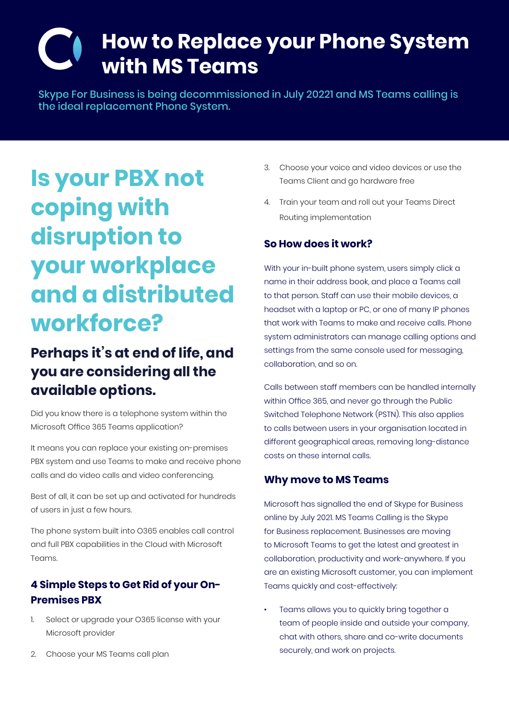## **How to Replace your Phone System with MS Teams**

Skype For Business is being decommissioned in July 20221 and MS Teams calling is the ideal replacement Phone System.

# **Is your PBX not coping with disruption to your workplace and a distributed workforce?**

### **Perhaps it's at end of life, and you are considering all the available options.**

Did you know there is a telephone system within the Microsoft Office 365 Teams application?

It means you can replace your existing on-premises PBX system and use Teams to make and receive phone calls and do video calls and video conferencing.

Best of all, it can be set up and activated for hundreds of users in just a few hours.

The phone system built into O365 enables call control and full PBX capabilities in the Cloud with Microsoft Teams.

### **4 Simple Steps to Get Rid of your On-Premises PBX**

- 1. Select or upgrade your O365 license with your Microsoft provider
- 2. Choose your MS Teams call plan
- 3. Choose your voice and video devices or use the Teams Client and go hardware free
- 4. Train your team and roll out your Teams Direct Routing implementation

#### **So How does it work?**

With your in-built phone system, users simply click a name in their address book, and place a Teams call to that person. Staff can use their mobile devices, a headset with a laptop or PC, or one of many IP phones that work with Teams to make and receive calls. Phone system administrators can manage calling options and settings from the same console used for messaging, collaboration, and so on.

Calls between staff members can be handled internally within Office 365, and never go through the Public Switched Telephone Network (PSTN). This also applies to calls between users in your organisation located in different geographical areas, removing long-distance costs on these internal calls.

#### **Why move to MS Teams**

Microsoft has signalled the end of Skype for Business online by July 2021. MS Teams Calling is the Skype for Business replacement. Businesses are moving to Microsoft Teams to get the latest and greatest in collaboration, productivity and work-anywhere. If you are an existing Microsoft customer, you can implement Teams quickly and cost-effectively:

Teams allows you to quickly bring together a team of people inside and outside your company, chat with others, share and co-write documents securely, and work on projects.